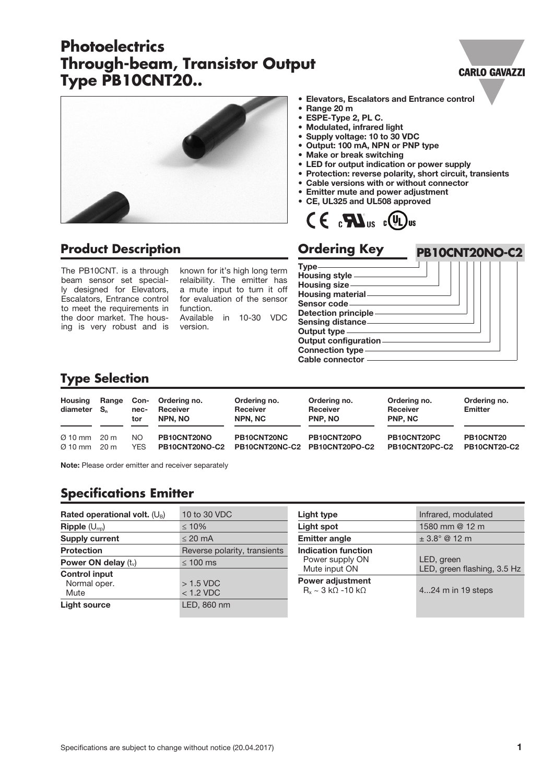# **Photoelectrics Through-beam, Transistor Output Type PB10CNT20..**

#### **CARLO GAVAZZI**

**PB10CNT20NO-C2**



### **Product Description**

The PB10CNT. is a through beam sensor set specially designed for Elevators, Escalators, Entrance control to meet the requirements in the door market. The housing is very robust and is known for it's high long term relaibility. The emitter has a mute input to turn it off for evaluation of the sensor function.

Available in 10-30 VDC version.

- Elevators, Escalators and Entrance control
- Range 20 m<br>• ESPE-Type:
- ESPE-Type 2, PL C.
- Modulated, infrared light
- Supply voltage: 10 to 30 VDC
- Output: 100 mA, NPN or PNP type
- Make or break switching
- LED for output indication or power supply
- Protection: reverse polarity, short circuit, transients
- Cable versions with or without connector
- Emitter mute and power adjustment
- CE, UL325 and UL508 approved



#### **Ordering Key**



## **Type Selection**

| <b>Housing</b><br>diameter S <sub>n</sub> | Range | Con-<br>nec-<br>tor | Ordering no.<br>Receiver<br>NPN. NO | Ordering no.<br><b>Receiver</b><br>NPN. NC | Ordering no.<br><b>Receiver</b><br><b>PNP. NO</b> | Ordering no.<br><b>Receiver</b><br><b>PNP. NC</b> | Ordering no.<br>Emitter |
|-------------------------------------------|-------|---------------------|-------------------------------------|--------------------------------------------|---------------------------------------------------|---------------------------------------------------|-------------------------|
| $\varnothing$ 10 mm                       | 20 m  | NO.                 | PB10CNT20NO                         | PB10CNT20NC                                | PB10CNT20PO                                       | PB10CNT20PC                                       | PB10CNT20               |
| $\varnothing$ 10 mm                       | 20 m  | <b>YES</b>          | PB10CNT20NO-C2                      | PB10CNT20NC-C2                             | PB10CNT20PO-C2                                    | PB10CNT20PC-C2                                    | <b>PB10CNT20-C2</b>     |

Note: Please order emitter and receiver separately

## **Specifications Emitter**

| Rated operational volt. $(U_B)$                    | 10 to 30 VDC                 |
|----------------------------------------------------|------------------------------|
| $\mathsf{Ripple}\left(\bigcup_{\text{rrp}}\right)$ | $\leq 10\%$                  |
| <b>Supply current</b>                              | $\leq$ 20 mA                 |
| <b>Protection</b>                                  | Reverse polarity, transients |
| Power ON delay $(t_v)$                             | $\leq 100$ ms                |
| <b>Control input</b>                               |                              |
| Normal oper.                                       | $>1.5$ VDC                   |
| Mute                                               | $<$ 1.2 VDC                  |
| <b>Light source</b>                                | LED, 860 nm                  |

| Light type                                                                   | Infrared, modulated                       |  |
|------------------------------------------------------------------------------|-------------------------------------------|--|
| <b>Light spot</b>                                                            | 1580 mm @ 12 m                            |  |
| <b>Emitter angle</b>                                                         | $\pm 3.8^{\circ}$ @ 12 m                  |  |
| Indication function<br>Power supply ON<br>Mute input ON                      | LED, green<br>LED, green flashing, 3.5 Hz |  |
| <b>Power adjustment</b><br>$R_x \sim 3 \text{ k}\Omega - 10 \text{ k}\Omega$ | 424 m in 19 steps                         |  |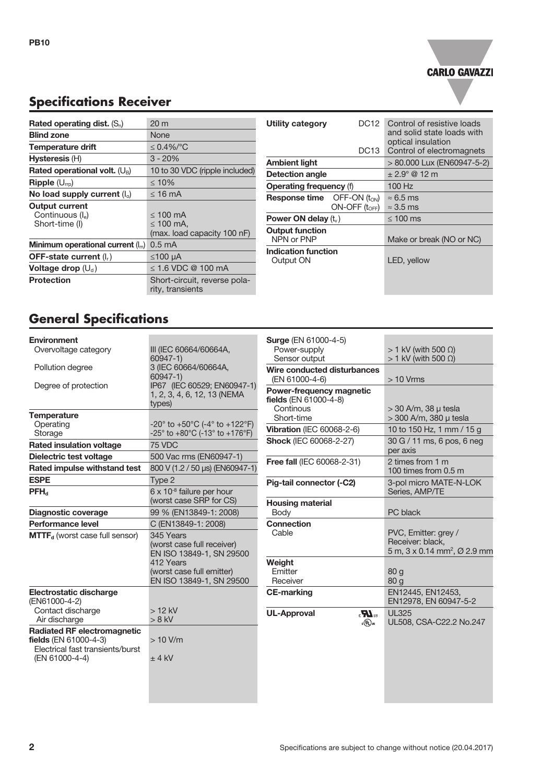

# **Specifications Receiver**

| Rated operating dist. $(S_n)$                                           | $20 \text{ m}$                                                 |  |  |
|-------------------------------------------------------------------------|----------------------------------------------------------------|--|--|
| <b>Blind zone</b>                                                       | <b>None</b>                                                    |  |  |
| Temperature drift                                                       | $\leq$ 0.4%/°C                                                 |  |  |
| Hysteresis (H)                                                          | $3 - 20%$                                                      |  |  |
| Rated operational volt. $(U_B)$                                         | 10 to 30 VDC (ripple included)                                 |  |  |
| $\mathsf{Ripple}\left(\bigcup_{\text{rrp}}\right)$                      | $\leq 10\%$                                                    |  |  |
| No load supply current $(I_0)$                                          | ≤ 16 mA                                                        |  |  |
| <b>Output current</b><br>Continuous (I <sub>e</sub> )<br>Short-time (I) | $\leq 100$ mA<br>$\leq 100$ mA,<br>(max. load capacity 100 nF) |  |  |
| Minimum operational current $(I_m)$                                     | 0.5 <sub>m</sub> A                                             |  |  |
| <b>OFF-state current</b> $(I_r)$                                        | $≤100 \mu A$                                                   |  |  |
| Voltage drop $(U_d)$                                                    | $\leq$ 1.6 VDC @ 100 mA                                        |  |  |
| Protection                                                              | Short-circuit, reverse pola-<br>rity, transients               |  |  |

| <b>Utility category</b><br>DC12                            | Control of resistive loads<br>and solid state loads with |  |  |
|------------------------------------------------------------|----------------------------------------------------------|--|--|
| DC13                                                       | optical insulation<br>Control of electromagnets          |  |  |
| Ambient light                                              | > 80.000 Lux (EN60947-5-2)                               |  |  |
| Detection angle                                            | $\pm 2.9^{\circ}$ @ 12 m                                 |  |  |
| <b>Operating frequency (f)</b>                             | 100 Hz                                                   |  |  |
| <b>Response time</b> $OFF-ON(t_{ON})$<br>$ON-OFF(t_{OFF})$ | $\approx 6.5$ ms<br>$\approx$ 3.5 ms                     |  |  |
| Power ON delay $(t_v)$                                     | $\leq 100$ ms                                            |  |  |
| <b>Output function</b><br>NPN or PNP                       | Make or break (NO or NC)                                 |  |  |
| Indication function<br>Output ON                           | LED, yellow                                              |  |  |

# **General Specifications**

| <b>Environment</b>                                |                                                                                              | <b>Surge (EN 61000-4-5)</b>                           |                                                                |  |
|---------------------------------------------------|----------------------------------------------------------------------------------------------|-------------------------------------------------------|----------------------------------------------------------------|--|
| Overvoltage category                              | III (IEC 60664/60664A,<br>60947-1)                                                           | Power-supply<br>Sensor output                         | $> 1$ kV (with 500 $\Omega$ )<br>$> 1$ kV (with 500 $\Omega$ ) |  |
| Pollution degree                                  | 3 (IEC 60664/60664A,                                                                         |                                                       |                                                                |  |
|                                                   | $60947 - 1$                                                                                  | Wire conducted disturbances                           |                                                                |  |
| Degree of protection                              | IP67 (IEC 60529; EN60947-1)                                                                  | (EN 61000-4-6)                                        | $>10$ Vrms                                                     |  |
|                                                   | 1, 2, 3, 4, 6, 12, 13 (NEMA<br>types)                                                        | Power-frequency magnetic<br>fields (EN 61000-4-8)     |                                                                |  |
|                                                   |                                                                                              | Continous                                             | $>$ 30 A/m, 38 $\mu$ tesla                                     |  |
| <b>Temperature</b>                                |                                                                                              | Short-time                                            | > 300 A/m, 380 µ tesla                                         |  |
| Operating<br>Storage                              | -20° to +50°C (-4° to +122°F)<br>$-25^{\circ}$ to $+80^{\circ}$ C (-13° to $+176^{\circ}$ F) | <b>Vibration (IEC 60068-2-6)</b>                      | 10 to 150 Hz, 1 mm / 15 g                                      |  |
|                                                   |                                                                                              | <b>Shock (IEC 60068-2-27)</b>                         | 30 G / 11 ms, 6 pos, 6 neg<br>per axis                         |  |
| <b>Rated insulation voltage</b>                   | 75 VDC                                                                                       |                                                       |                                                                |  |
| Dielectric test voltage                           | 500 Vac rms (EN60947-1)                                                                      | Free fall (IEC 60068-2-31)                            | 2 times from 1 m<br>100 times from 0.5 m                       |  |
| Rated impulse withstand test                      | 800 V (1.2 / 50 µs) (EN60947-1)                                                              |                                                       |                                                                |  |
| <b>ESPE</b>                                       | Type 2                                                                                       | Pig-tail connector (-C2)                              | 3-pol micro MATE-N-LOK<br>Series, AMP/TE                       |  |
| $PFH_{d}$                                         | $6 \times 10^{-8}$ failure per hour                                                          |                                                       |                                                                |  |
|                                                   | (worst case SRP for CS)                                                                      | <b>Housing material</b>                               |                                                                |  |
| <b>Diagnostic coverage</b>                        | 99 % (EN13849-1: 2008)                                                                       | Body                                                  | PC black                                                       |  |
| Performance level                                 | C (EN13849-1: 2008)                                                                          | <b>Connection</b>                                     |                                                                |  |
| <b>MTTF</b> <sub>d</sub> (worst case full sensor) | 345 Years                                                                                    | Cable                                                 | PVC, Emitter: grey /                                           |  |
|                                                   | (worst case full receiver)                                                                   |                                                       | Receiver: black.                                               |  |
|                                                   | EN ISO 13849-1, SN 29500                                                                     |                                                       | 5 m, 3 x 0.14 mm <sup>2</sup> , Ø 2.9 mm                       |  |
|                                                   | 412 Years                                                                                    | Weight                                                |                                                                |  |
|                                                   | (worst case full emitter)                                                                    | Emitter                                               | 80q                                                            |  |
|                                                   | EN ISO 13849-1, SN 29500                                                                     | Receiver                                              | 80 <sub>g</sub>                                                |  |
| Electrostatic discharge                           |                                                                                              | <b>CE-marking</b>                                     | EN12445, EN12453,                                              |  |
| (EN61000-4-2)                                     |                                                                                              |                                                       | EN12978, EN 60947-5-2                                          |  |
| Contact discharge                                 | $>12$ kV                                                                                     | <b>UL-Approval</b><br>$\mathbf{R}_\mathrm{a}$         | <b>UL325</b>                                                   |  |
| Air discharge                                     | $> 8$ kV                                                                                     | $_{c}(\widehat{\mathbf{\mathsf{U}}}_{\mathsf{L}})$ us | UL508, CSA-C22.2 No.247                                        |  |
| <b>Radiated RF electromagnetic</b>                |                                                                                              |                                                       |                                                                |  |
| <b>fields</b> (EN 61000-4-3)                      | $>10$ V/m                                                                                    |                                                       |                                                                |  |
| Electrical fast transients/burst                  |                                                                                              |                                                       |                                                                |  |
| (EN 61000-4-4)                                    | $±$ 4 kV                                                                                     |                                                       |                                                                |  |
|                                                   |                                                                                              |                                                       |                                                                |  |
|                                                   |                                                                                              |                                                       |                                                                |  |
|                                                   |                                                                                              |                                                       |                                                                |  |
|                                                   |                                                                                              |                                                       |                                                                |  |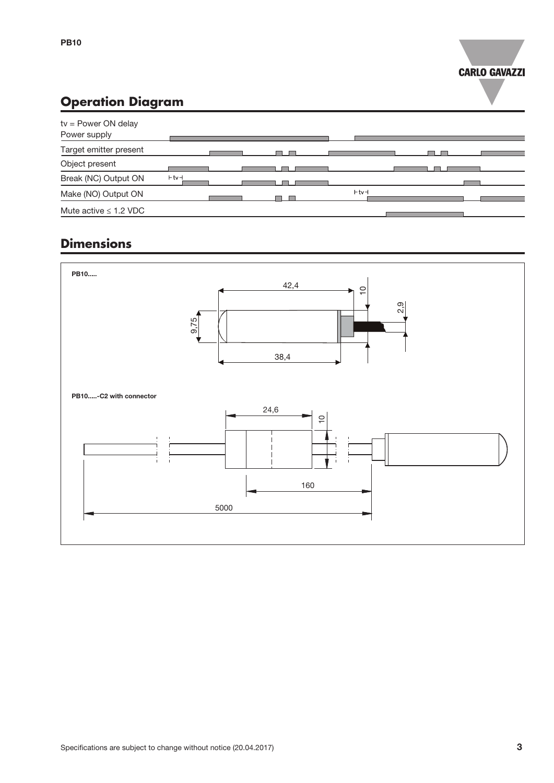

# **Operation Diagram**

| $tv = Power ON$ delay<br>Power supply |            |        |  |
|---------------------------------------|------------|--------|--|
| Target emitter present                |            |        |  |
| Object present                        |            |        |  |
| Break (NC) Output ON                  | $+$ tv $+$ |        |  |
| Make (NO) Output ON                   |            | $+tv+$ |  |
| Mute active $\leq$ 1.2 VDC            |            |        |  |

## **Dimensions**